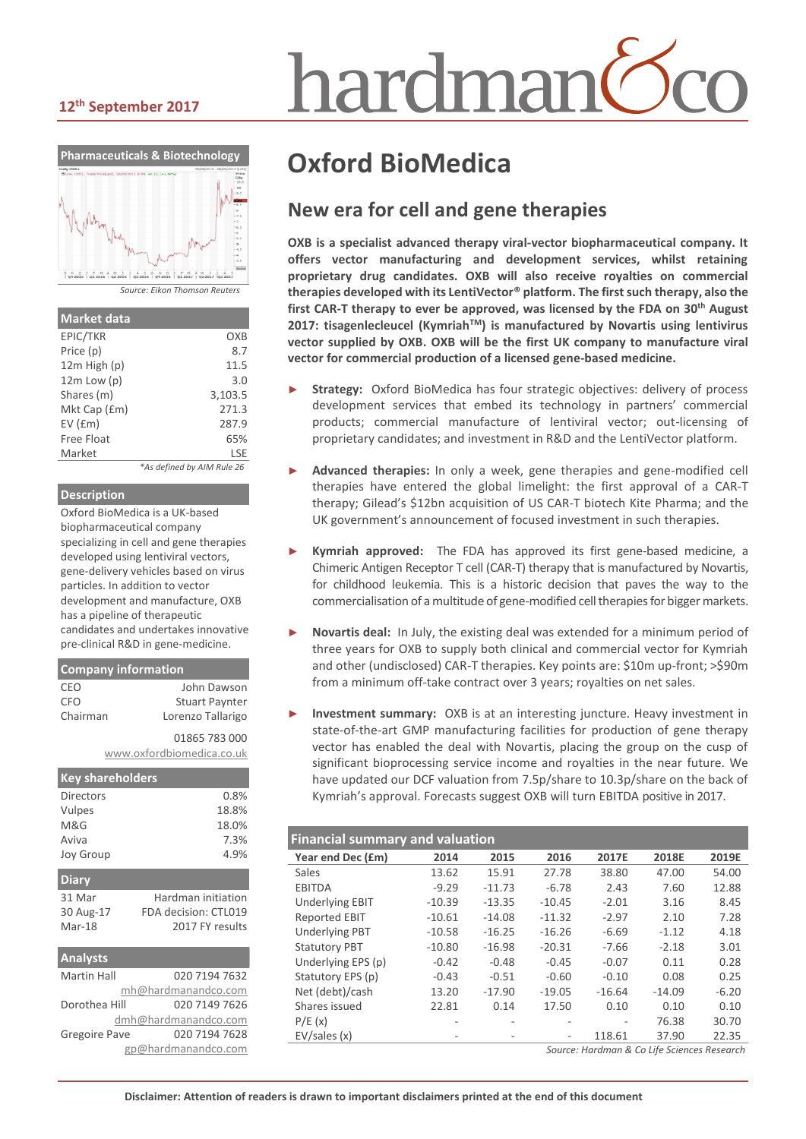#### **12th September 2017**



| <b>Market data</b> |                            |
|--------------------|----------------------------|
| EPIC/TKR           | OXB                        |
| Price (p)          | 8.7                        |
| $12m$ High $(p)$   | 11.5                       |
| $12m$ Low $(p)$    | 3.O                        |
| Shares (m)         | 3,103.5                    |
| Mkt Cap (£m)       | 271.3                      |
| $EV$ ( $Em$ )      | 287.9                      |
| <b>Free Float</b>  | 65%                        |
| Market             | LSE                        |
|                    | *As defined by AIM Rule 26 |

#### **Description**

Oxford BioMedica is a UK-based biopharmaceutical company specializing in cell and gene therapies developed using lentiviral vectors, gene-delivery vehicles based on virus particles. In addition to vector development and manufacture, OXB has a pipeline of therapeutic candidates and undertakes innovative pre-clinical R&D in gene-medicine.

| <b>Company information</b> |                       |  |  |  |
|----------------------------|-----------------------|--|--|--|
| CEO                        | John Dawson           |  |  |  |
| <b>CFO</b>                 | <b>Stuart Paynter</b> |  |  |  |
| Chairman                   | Lorenzo Tallarigo     |  |  |  |
|                            | 01865 783 000         |  |  |  |
| www.oxfordbiomedica.co.uk  |                       |  |  |  |
|                            |                       |  |  |  |

| <b>Key shareholders</b> |                      |
|-------------------------|----------------------|
| Directors               | 0.8%                 |
| Vulpes                  | 18.8%                |
| M&G                     | 18.0%                |
| Aviva                   | 7.3%                 |
| <b>Joy Group</b>        | 4.9%                 |
| <b>Diary</b>            |                      |
| 31 Mar                  | Hardman initiation   |
| 30 Aug-17               | FDA decision: CTL019 |
| Mar-18                  | 2017 FY results      |
| <b>Analysts</b>         |                      |
| Martin Hall             | 020 7194 7632        |

| IVIdi UIII Ndii | UZU 7194 705Z        |
|-----------------|----------------------|
|                 | mh@hardmanandco.com  |
| Dorothea Hill   | 020 7149 7626        |
|                 | dmh@hardmanandco.com |
| Gregoire Pave   | 020 7194 7628        |
|                 | gp@hardmanandco.com  |

# hardmar

# **Oxford BioMedica**

### **New era for cell and gene therapies**

**OXB is a specialist advanced therapy viral-vector biopharmaceutical company. It offers vector manufacturing and development services, whilst retaining proprietary drug candidates. OXB will also receive royalties on commercial therapies developed with its LentiVector® platform. The first such therapy, also the**  first CAR-T therapy to ever be approved, was licensed by the FDA on 30<sup>th</sup> August **2017: tisagenlecleucel (Kymriah<sup>™</sup>) is manufactured by Novartis using lentivirus vector supplied by OXB. OXB will be the first UK company to manufacture viral vector for commercial production of a licensed gene-based medicine.**

- Strategy: Oxford BioMedica has four strategic objectives: delivery of process development services that embed its technology in partners' commercial products; commercial manufacture of lentiviral vector; out-licensing of proprietary candidates; and investment in R&D and the LentiVector platform.
- ► **Advanced therapies:** In only a week, gene therapies and gene-modified cell therapies have entered the global limelight: the first approval of a CAR-T therapy; Gilead's \$12bn acquisition of US CAR-T biotech Kite Pharma; and the UK government's announcement of focused investment in such therapies.
- ► **Kymriah approved:** The FDA has approved its first gene-based medicine, a Chimeric Antigen Receptor T cell (CAR-T) therapy that is manufactured by Novartis, for childhood leukemia. This is a historic decision that paves the way to the commercialisation of a multitude of gene-modified cell therapiesfor bigger markets.
- Novartis deal: In July, the existing deal was extended for a minimum period of three years for OXB to supply both clinical and commercial vector for Kymriah and other (undisclosed) CAR-T therapies. Key points are: \$10m up-front; >\$90m from a minimum off-take contract over 3 years; royalties on net sales.
- **Investment summary:** OXB is at an interesting juncture. Heavy investment in state-of-the-art GMP manufacturing facilities for production of gene therapy vector has enabled the deal with Novartis, placing the group on the cusp of significant bioprocessing service income and royalties in the near future. We have updated our DCF valuation from 7.5p/share to 10.3p/share on the back of Kymriah's approval. Forecasts suggest OXB will turn EBITDA positive in 2017.

#### **Financial summary and valuation**

| Year end Dec (£m)      | 2014     | 2015     | 2016     | 2017E    | 2018E    | 2019E   |
|------------------------|----------|----------|----------|----------|----------|---------|
| Sales                  | 13.62    | 15.91    | 27.78    | 38.80    | 47.00    | 54.00   |
| <b>EBITDA</b>          | $-9.29$  | $-11.73$ | $-6.78$  | 2.43     | 7.60     | 12.88   |
| <b>Underlying EBIT</b> | $-10.39$ | $-13.35$ | $-10.45$ | $-2.01$  | 3.16     | 8.45    |
| <b>Reported EBIT</b>   | $-10.61$ | $-14.08$ | $-11.32$ | $-2.97$  | 2.10     | 7.28    |
| <b>Underlying PBT</b>  | $-10.58$ | $-16.25$ | $-16.26$ | $-6.69$  | $-1.12$  | 4.18    |
| <b>Statutory PBT</b>   | $-10.80$ | $-16.98$ | $-20.31$ | $-7.66$  | $-2.18$  | 3.01    |
| Underlying EPS (p)     | $-0.42$  | $-0.48$  | $-0.45$  | $-0.07$  | 0.11     | 0.28    |
| Statutory EPS (p)      | $-0.43$  | $-0.51$  | $-0.60$  | $-0.10$  | 0.08     | 0.25    |
| Net (debt)/cash        | 13.20    | $-17.90$ | $-19.05$ | $-16.64$ | $-14.09$ | $-6.20$ |
| Shares issued          | 22.81    | 0.14     | 17.50    | 0.10     | 0.10     | 0.10    |
| P/E(x)                 |          |          |          |          | 76.38    | 30.70   |
| EV/sales(x)            | ۰        |          | ۰        | 118.61   | 37.90    | 22.35   |
|                        |          |          |          |          |          |         |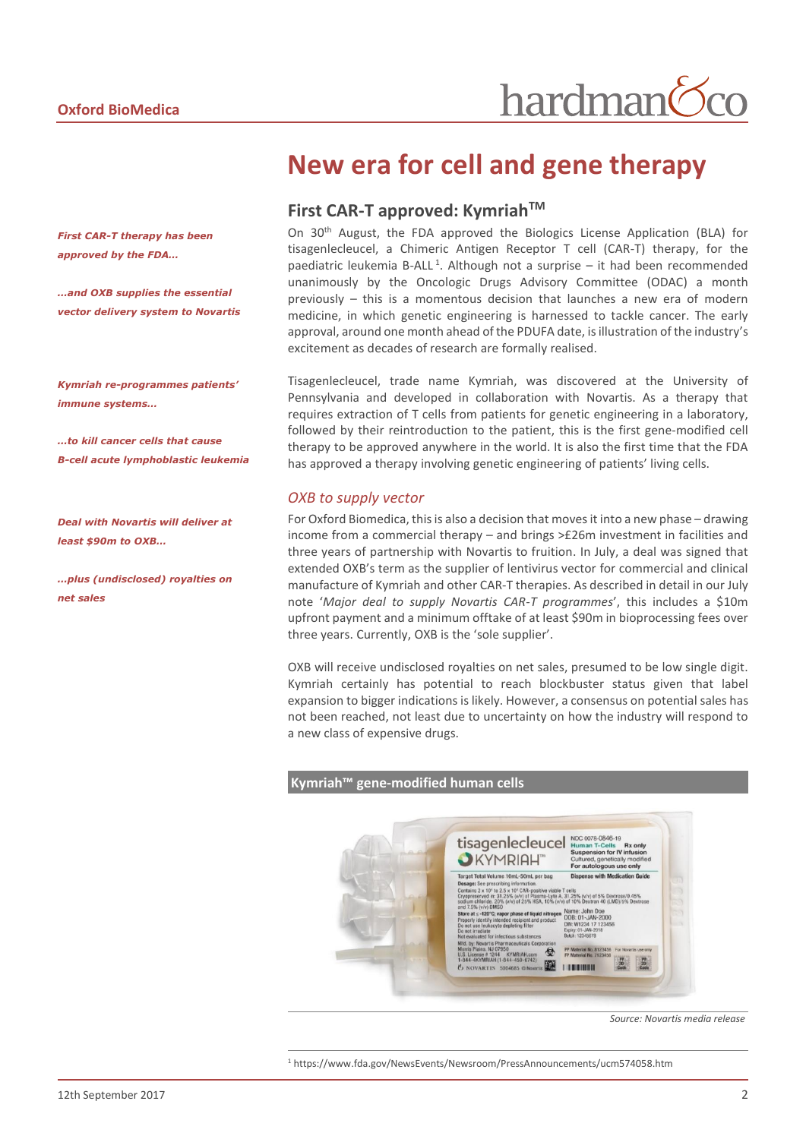*First CAR-T therapy has been approved by the FDA…*

*…and OXB supplies the essential vector delivery system to Novartis*

*Kymriah re-programmes patients' immune systems…*

*…to kill cancer cells that cause B-cell acute lymphoblastic leukemia*

*Deal with Novartis will deliver at least \$90m to OXB…*

*…plus (undisclosed) royalties on net sales*

# **New era for cell and gene therapy**

#### **First CAR-T approved: KymriahTM**

On 30<sup>th</sup> August, the FDA approved the Biologics License Application (BLA) for tisagenlecleucel, a Chimeric Antigen Receptor T cell (CAR-T) therapy, for the paediatric leukemia B-ALL<sup>1</sup>. Although not a surprise – it had been recommended unanimously by the Oncologic Drugs Advisory Committee (ODAC) a month previously – this is a momentous decision that launches a new era of modern medicine, in which genetic engineering is harnessed to tackle cancer. The early approval, around one month ahead of the PDUFA date, is illustration of the industry's excitement as decades of research are formally realised.

Tisagenlecleucel, trade name Kymriah, was discovered at the University of Pennsylvania and developed in collaboration with Novartis. As a therapy that requires extraction of T cells from patients for genetic engineering in a laboratory, followed by their reintroduction to the patient, this is the first gene-modified cell therapy to be approved anywhere in the world. It is also the first time that the FDA has approved a therapy involving genetic engineering of patients' living cells.

#### *OXB to supply vector*

For Oxford Biomedica, this is also a decision that moves it into a new phase – drawing income from a commercial therapy – and brings >£26m investment in facilities and three years of partnership with Novartis to fruition. In July, a deal was signed that extended OXB's term as the supplier of lentivirus vector for commercial and clinical manufacture of Kymriah and other CAR-T therapies. As described in detail in our July note '*Major deal to supply Novartis CAR-T programmes*', this includes a \$10m upfront payment and a minimum offtake of at least \$90m in bioprocessing fees over three years. Currently, OXB is the 'sole supplier'.

OXB will receive undisclosed royalties on net sales, presumed to be low single digit. Kymriah certainly has potential to reach blockbuster status given that label expansion to bigger indications is likely. However, a consensus on potential sales has not been reached, not least due to uncertainty on how the industry will respond to a new class of expensive drugs.

#### **Kymriah™ gene-modified human cells**

 $\overline{a}$ 



*Source: Novartis media release*

<sup>1</sup> https://www.fda.gov/NewsEvents/Newsroom/PressAnnouncements/ucm574058.htm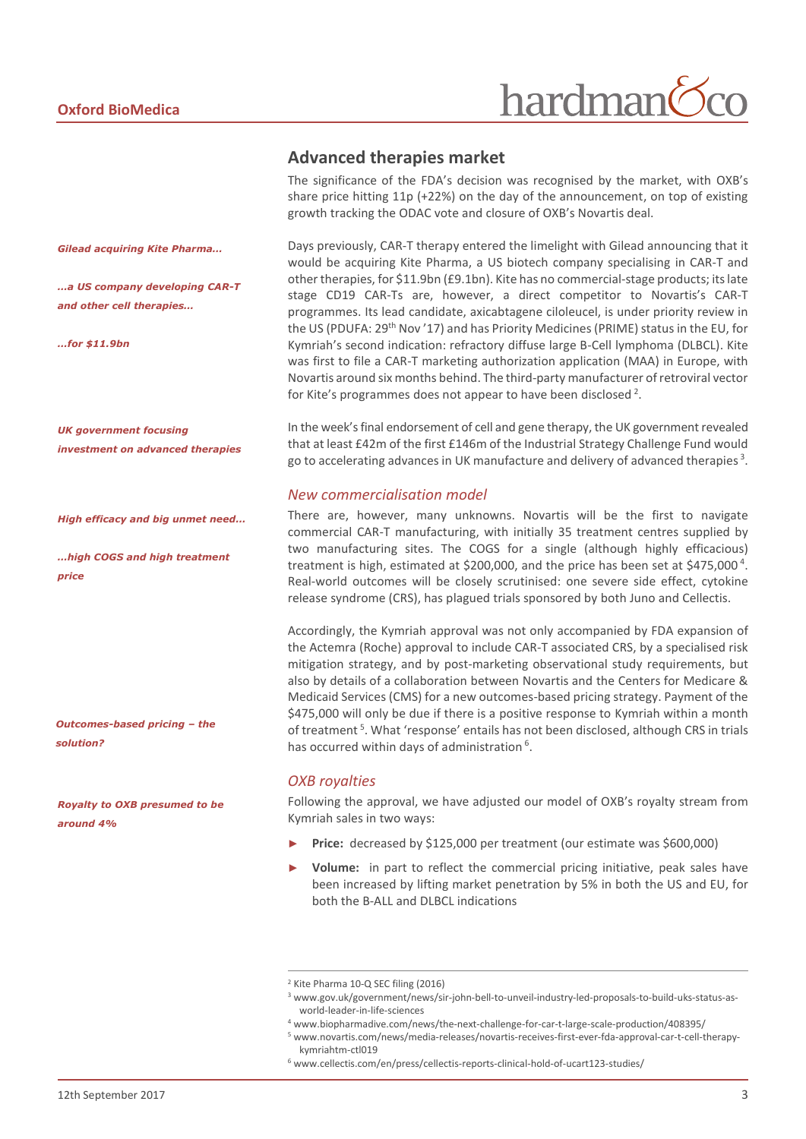# hardman

#### **Advanced therapies market**

The significance of the FDA's decision was recognised by the market, with OXB's share price hitting 11p (+22%) on the day of the announcement, on top of existing growth tracking the ODAC vote and closure of OXB's Novartis deal.

Days previously, CAR-T therapy entered the limelight with Gilead announcing that it would be acquiring Kite Pharma, a US biotech company specialising in CAR-T and other therapies, for \$11.9bn (£9.1bn). Kite has no commercial-stage products; its late stage CD19 CAR-Ts are, however, a direct competitor to Novartis's CAR-T programmes. Its lead candidate, axicabtagene ciloleucel, is under priority review in the US (PDUFA: 29<sup>th</sup> Nov '17) and has Priority Medicines (PRIME) status in the EU, for Kymriah's second indication: refractory diffuse large B-Cell lymphoma (DLBCL). Kite was first to file a CAR-T marketing authorization application (MAA) in Europe, with Novartis around six months behind. The third-party manufacturer of retroviral vector for Kite's programmes does not appear to have been disclosed<sup>2</sup>.

In the week'sfinal endorsement of cell and gene therapy, the UK government revealed that at least £42m of the first £146m of the Industrial Strategy Challenge Fund would go to accelerating advances in UK manufacture and delivery of advanced therapies<sup>3</sup>.

#### *New commercialisation model*

There are, however, many unknowns. Novartis will be the first to navigate commercial CAR-T manufacturing, with initially 35 treatment centres supplied by two manufacturing sites. The COGS for a single (although highly efficacious) treatment is high, estimated at \$200,000, and the price has been set at \$475,000<sup>4</sup>. Real-world outcomes will be closely scrutinised: one severe side effect, cytokine release syndrome (CRS), has plagued trials sponsored by both Juno and Cellectis.

Accordingly, the Kymriah approval was not only accompanied by FDA expansion of the Actemra (Roche) approval to include CAR-T associated CRS, by a specialised risk mitigation strategy, and by post-marketing observational study requirements, but also by details of a collaboration between Novartis and the Centers for Medicare & Medicaid Services (CMS) for a new outcomes-based pricing strategy. Payment of the \$475,000 will only be due if there is a positive response to Kymriah within a month of treatment<sup>5</sup>. What 'response' entails has not been disclosed, although CRS in trials has occurred within days of administration<sup>6</sup>.

#### *OXB royalties*

Following the approval, we have adjusted our model of OXB's royalty stream from Kymriah sales in two ways:

- Price: decreased by \$125,000 per treatment (our estimate was \$600,000)
- **Volume:** in part to reflect the commercial pricing initiative, peak sales have been increased by lifting market penetration by 5% in both the US and EU, for both the B-ALL and DLBCL indications

 $\overline{a}$ 

*Gilead acquiring Kite Pharma…*

*…a US company developing CAR-T and other cell therapies…*

*…for \$11.9bn*

*UK government focusing investment on advanced therapies*

*High efficacy and big unmet need…*

*…high COGS and high treatment price*

*Outcomes-based pricing – the solution?*

*Royalty to OXB presumed to be around 4%*

<sup>2</sup> Kite Pharma 10-Q SEC filing (2016)

<sup>3</sup> www.gov.uk/government/news/sir-john-bell-to-unveil-industry-led-proposals-to-build-uks-status-asworld-leader-in-life-sciences

<sup>4</sup> www.biopharmadive.com/news/the-next-challenge-for-car-t-large-scale-production/408395/

<sup>5</sup> www.novartis.com/news/media-releases/novartis-receives-first-ever-fda-approval-car-t-cell-therapykymriahtm-ctl019

<sup>6</sup> www.cellectis.com/en/press/cellectis-reports-clinical-hold-of-ucart123-studies/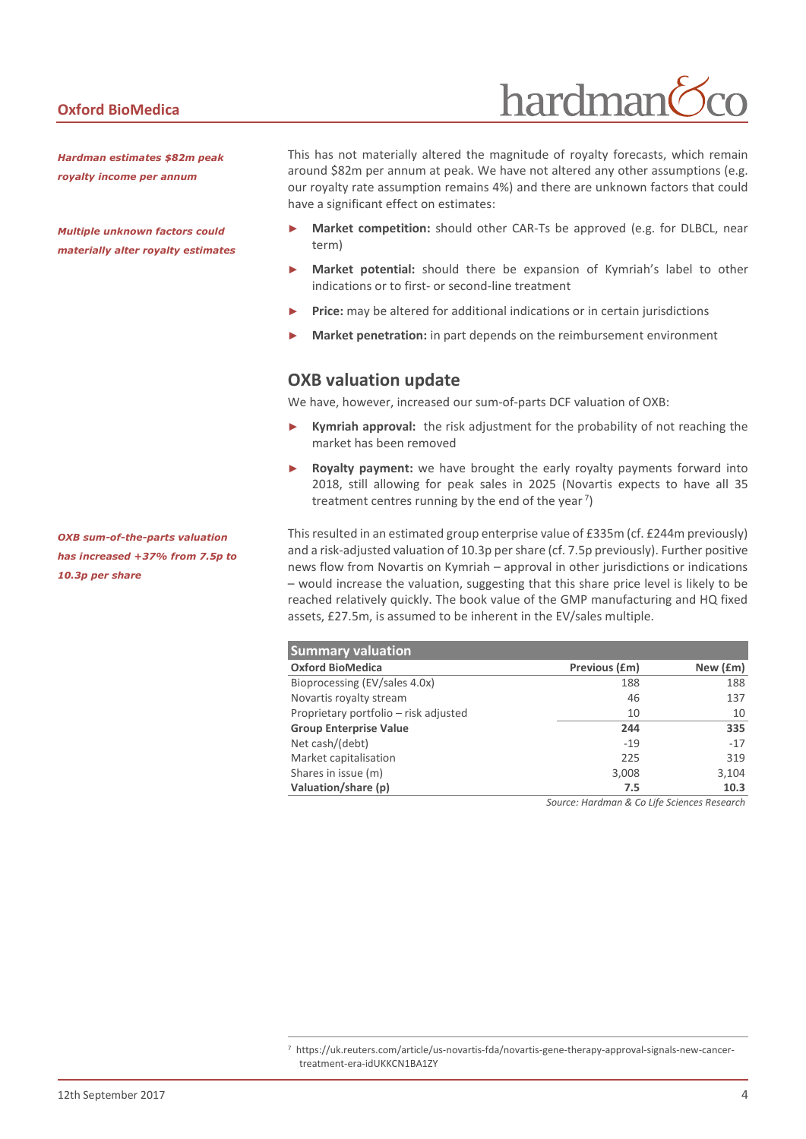#### **Oxford BioMedica**

*Hardman estimates \$82m peak royalty income per annum*

*Multiple unknown factors could materially alter royalty estimates* This has not materially altered the magnitude of royalty forecasts, which remain around \$82m per annum at peak. We have not altered any other assumptions (e.g. our royalty rate assumption remains 4%) and there are unknown factors that could have a significant effect on estimates:

hardman

- Market competition: should other CAR-Ts be approved (e.g. for DLBCL, near term)
- **Market potential:** should there be expansion of Kymriah's label to other indications or to first- or second-line treatment
- Price: may be altered for additional indications or in certain jurisdictions
- **Market penetration:** in part depends on the reimbursement environment

#### **OXB valuation update**

We have, however, increased our sum-of-parts DCF valuation of OXB:

- Kymriah approval: the risk adjustment for the probability of not reaching the market has been removed
- Royalty payment: we have brought the early royalty payments forward into 2018, still allowing for peak sales in 2025 (Novartis expects to have all 35 treatment centres running by the end of the year<sup>7</sup>)

This resulted in an estimated group enterprise value of £335m (cf. £244m previously) and a risk-adjusted valuation of 10.3p per share (cf. 7.5p previously). Further positive news flow from Novartis on Kymriah – approval in other jurisdictions or indications – would increase the valuation, suggesting that this share price level is likely to be reached relatively quickly. The book value of the GMP manufacturing and HQ fixed assets, £27.5m, is assumed to be inherent in the EV/sales multiple.

| <b>Summary valuation</b>              |               |          |  |  |  |  |
|---------------------------------------|---------------|----------|--|--|--|--|
| <b>Oxford BioMedica</b>               | Previous (£m) | New (£m) |  |  |  |  |
| Bioprocessing (EV/sales 4.0x)         | 188           | 188      |  |  |  |  |
| Novartis royalty stream               | 46            | 137      |  |  |  |  |
| Proprietary portfolio – risk adjusted | 10            | 10       |  |  |  |  |
| <b>Group Enterprise Value</b>         | 244           | 335      |  |  |  |  |
| Net cash/(debt)                       | $-19$         | $-17$    |  |  |  |  |
| Market capitalisation                 | 225           | 319      |  |  |  |  |
| Shares in issue (m)                   | 3,008         | 3,104    |  |  |  |  |
| Valuation/share (p)                   | 7.5           | 10.3     |  |  |  |  |

*Source: Hardman & Co Life Sciences Research*

*OXB sum-of-the-parts valuation has increased +37% from 7.5p to 10.3p per share* 

 $\overline{a}$ 

<sup>7</sup> https://uk.reuters.com/article/us-novartis-fda/novartis-gene-therapy-approval-signals-new-cancertreatment-era-idUKKCN1BA1ZY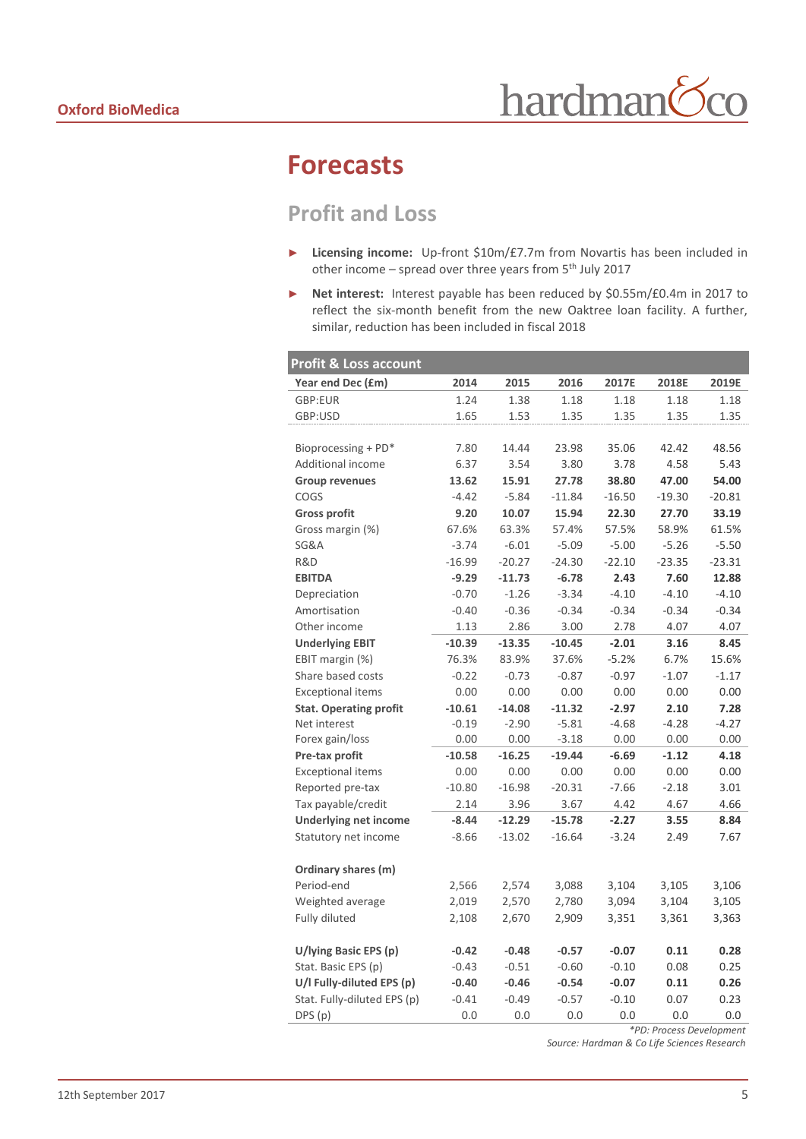# **Forecasts**

I

# **Profit and Loss**

- ► **Licensing income:** Up-front \$10m/£7.7m from Novartis has been included in other income - spread over three years from 5<sup>th</sup> July 2017
- ► **Net interest:** Interest payable has been reduced by \$0.55m/£0.4m in 2017 to reflect the six-month benefit from the new Oaktree loan facility. A further, similar, reduction has been included in fiscal 2018

| Profit & Loss account         |          |          |          |          |          |          |
|-------------------------------|----------|----------|----------|----------|----------|----------|
| Year end Dec (£m)             | 2014     | 2015     | 2016     | 2017E    | 2018E    | 2019E    |
| GBP:EUR                       | 1.24     | 1.38     | 1.18     | 1.18     | 1.18     | 1.18     |
| GBP:USD                       | 1.65     | 1.53     | 1.35     | 1.35     | 1.35     | 1.35     |
|                               |          |          |          |          |          |          |
| Bioprocessing + PD*           | 7.80     | 14.44    | 23.98    | 35.06    | 42.42    | 48.56    |
| Additional income             | 6.37     | 3.54     | 3.80     | 3.78     | 4.58     | 5.43     |
| <b>Group revenues</b>         | 13.62    | 15.91    | 27.78    | 38.80    | 47.00    | 54.00    |
| COGS                          | $-4.42$  | $-5.84$  | $-11.84$ | $-16.50$ | $-19.30$ | $-20.81$ |
| <b>Gross profit</b>           | 9.20     | 10.07    | 15.94    | 22.30    | 27.70    | 33.19    |
| Gross margin (%)              | 67.6%    | 63.3%    | 57.4%    | 57.5%    | 58.9%    | 61.5%    |
| SG&A                          | $-3.74$  | $-6.01$  | $-5.09$  | $-5.00$  | $-5.26$  | $-5.50$  |
| R&D                           | $-16.99$ | $-20.27$ | $-24.30$ | $-22.10$ | $-23.35$ | $-23.31$ |
| <b>EBITDA</b>                 | $-9.29$  | $-11.73$ | $-6.78$  | 2.43     | 7.60     | 12.88    |
| Depreciation                  | $-0.70$  | $-1.26$  | $-3.34$  | $-4.10$  | $-4.10$  | $-4.10$  |
| Amortisation                  | $-0.40$  | $-0.36$  | $-0.34$  | $-0.34$  | $-0.34$  | $-0.34$  |
| Other income                  | 1.13     | 2.86     | 3.00     | 2.78     | 4.07     | 4.07     |
| <b>Underlying EBIT</b>        | $-10.39$ | $-13.35$ | $-10.45$ | $-2.01$  | 3.16     | 8.45     |
| EBIT margin (%)               | 76.3%    | 83.9%    | 37.6%    | $-5.2%$  | 6.7%     | 15.6%    |
| Share based costs             | $-0.22$  | $-0.73$  | $-0.87$  | $-0.97$  | $-1.07$  | $-1.17$  |
| <b>Exceptional items</b>      | 0.00     | 0.00     | 0.00     | 0.00     | 0.00     | 0.00     |
| <b>Stat. Operating profit</b> | $-10.61$ | $-14.08$ | $-11.32$ | $-2.97$  | 2.10     | 7.28     |
| Net interest                  | $-0.19$  | $-2.90$  | $-5.81$  | $-4.68$  | $-4.28$  | $-4.27$  |
| Forex gain/loss               | 0.00     | 0.00     | $-3.18$  | 0.00     | 0.00     | 0.00     |
| Pre-tax profit                | $-10.58$ | $-16.25$ | $-19.44$ | $-6.69$  | $-1.12$  | 4.18     |
| <b>Exceptional items</b>      | 0.00     | 0.00     | 0.00     | 0.00     | 0.00     | 0.00     |
| Reported pre-tax              | $-10.80$ | $-16.98$ | $-20.31$ | $-7.66$  | $-2.18$  | 3.01     |
| Tax payable/credit            | 2.14     | 3.96     | 3.67     | 4.42     | 4.67     | 4.66     |
| <b>Underlying net income</b>  | $-8.44$  | $-12.29$ | $-15.78$ | $-2.27$  | 3.55     | 8.84     |
| Statutory net income          | $-8.66$  | $-13.02$ | $-16.64$ | $-3.24$  | 2.49     | 7.67     |
|                               |          |          |          |          |          |          |
| Ordinary shares (m)           |          |          |          |          |          |          |
| Period-end                    | 2,566    | 2,574    | 3,088    | 3,104    | 3,105    | 3,106    |
| Weighted average              | 2,019    | 2,570    | 2,780    | 3,094    | 3,104    | 3,105    |
| Fully diluted                 | 2,108    | 2,670    | 2,909    | 3,351    | 3,361    | 3,363    |
|                               |          |          |          |          |          |          |
| U/lying Basic EPS (p)         | $-0.42$  | $-0.48$  | $-0.57$  | $-0.07$  | 0.11     | 0.28     |
| Stat. Basic EPS (p)           | $-0.43$  | $-0.51$  | $-0.60$  | $-0.10$  | 0.08     | 0.25     |
| U/I Fully-diluted EPS (p)     | $-0.40$  | $-0.46$  | $-0.54$  | $-0.07$  | 0.11     | 0.26     |
| Stat. Fully-diluted EPS (p)   | $-0.41$  | $-0.49$  | $-0.57$  | $-0.10$  | 0.07     | 0.23     |
| DPS (p)                       | 0.0      | 0.0      | 0.0      | 0.0      | 0.0      | 0.0      |

*\*PD: Process Development*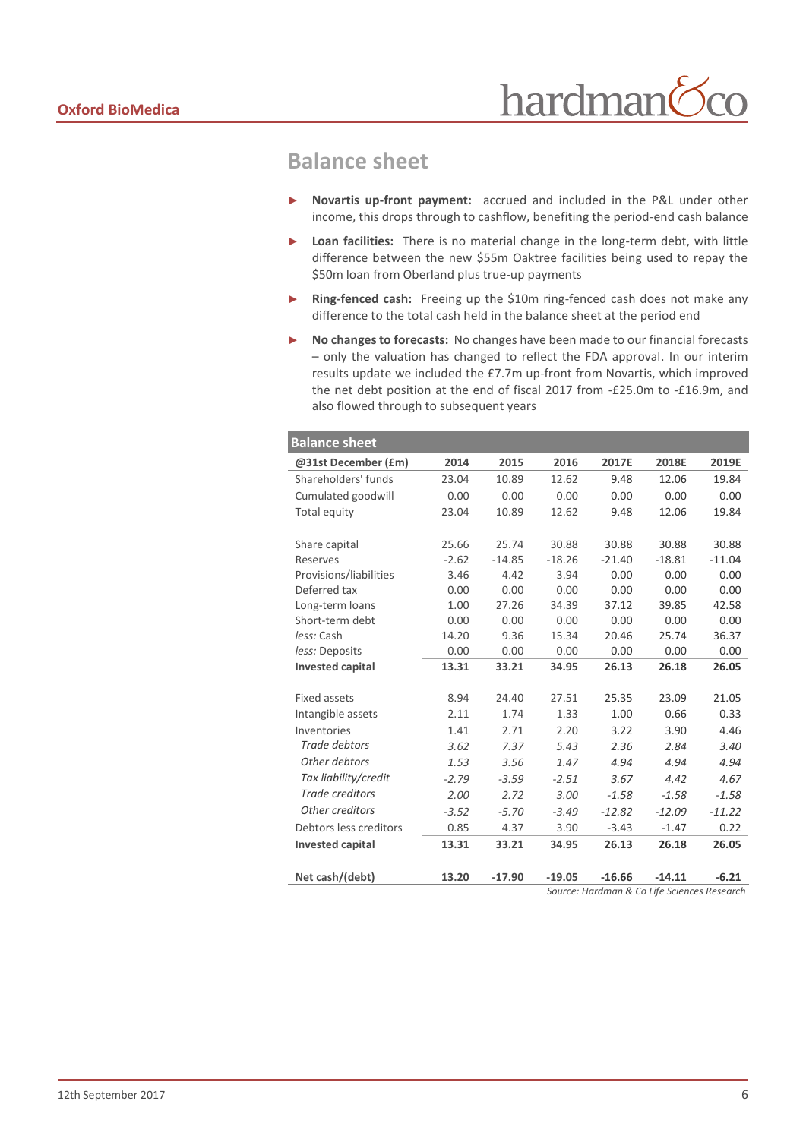### **Balance sheet**

- Novartis up-front payment: accrued and included in the P&L under other income, this drops through to cashflow, benefiting the period-end cash balance
- Loan facilities: There is no material change in the long-term debt, with little difference between the new \$55m Oaktree facilities being used to repay the \$50m loan from Oberland plus true-up payments
- Ring-fenced cash: Freeing up the \$10m ring-fenced cash does not make any difference to the total cash held in the balance sheet at the period end
- ► **No changes to forecasts:** No changes have been made to our financial forecasts – only the valuation has changed to reflect the FDA approval. In our interim results update we included the £7.7m up-front from Novartis, which improved the net debt position at the end of fiscal 2017 from -£25.0m to -£16.9m, and also flowed through to subsequent years

| <b>Balance sheet</b>    |         |          |          |          |          |          |
|-------------------------|---------|----------|----------|----------|----------|----------|
| @31st December (£m)     | 2014    | 2015     | 2016     | 2017E    | 2018E    | 2019E    |
| Shareholders' funds     | 23.04   | 10.89    | 12.62    | 9.48     | 12.06    | 19.84    |
| Cumulated goodwill      | 0.00    | 0.00     | 0.00     | 0.00     | 0.00     | 0.00     |
| Total equity            | 23.04   | 10.89    | 12.62    | 9.48     | 12.06    | 19.84    |
|                         |         |          |          |          |          |          |
| Share capital           | 25.66   | 25.74    | 30.88    | 30.88    | 30.88    | 30.88    |
| <b>Reserves</b>         | $-2.62$ | $-14.85$ | $-18.26$ | $-21.40$ | $-18.81$ | $-11.04$ |
| Provisions/liabilities  | 3.46    | 4.42     | 3.94     | 0.00     | 0.00     | 0.00     |
| Deferred tax            | 0.00    | 0.00     | 0.00     | 0.00     | 0.00     | 0.00     |
| Long-term loans         | 1.00    | 27.26    | 34.39    | 37.12    | 39.85    | 42.58    |
| Short-term debt         | 0.00    | 0.00     | 0.00     | 0.00     | 0.00     | 0.00     |
| less: Cash              | 14.20   | 9.36     | 15.34    | 20.46    | 25.74    | 36.37    |
| less: Deposits          | 0.00    | 0.00     | 0.00     | 0.00     | 0.00     | 0.00     |
| <b>Invested capital</b> | 13.31   | 33.21    | 34.95    | 26.13    | 26.18    | 26.05    |
|                         |         |          |          |          |          |          |
| <b>Fixed assets</b>     | 8.94    | 24.40    | 27.51    | 25.35    | 23.09    | 21.05    |
| Intangible assets       | 2.11    | 1.74     | 1.33     | 1.00     | 0.66     | 0.33     |
| Inventories             | 1.41    | 2.71     | 2.20     | 3.22     | 3.90     | 4.46     |
| Trade debtors           | 3.62    | 7.37     | 5.43     | 2.36     | 2.84     | 3.40     |
| Other debtors           | 1.53    | 3.56     | 1.47     | 4.94     | 4.94     | 4.94     |
| Tax liability/credit    | $-2.79$ | $-3.59$  | $-2.51$  | 3.67     | 4.42     | 4.67     |
| <b>Trade creditors</b>  | 2.00    | 2.72     | 3.00     | $-1.58$  | $-1.58$  | $-1.58$  |
| Other creditors         | $-3.52$ | $-5.70$  | $-3.49$  | $-12.82$ | $-12.09$ | $-11.22$ |
| Debtors less creditors  | 0.85    | 4.37     | 3.90     | $-3.43$  | $-1.47$  | 0.22     |
| <b>Invested capital</b> | 13.31   | 33.21    | 34.95    | 26.13    | 26.18    | 26.05    |
| Net cash/(debt)         | 13.20   | $-17.90$ | $-19.05$ | $-16.66$ | $-14.11$ | $-6.21$  |
|                         |         |          |          |          |          |          |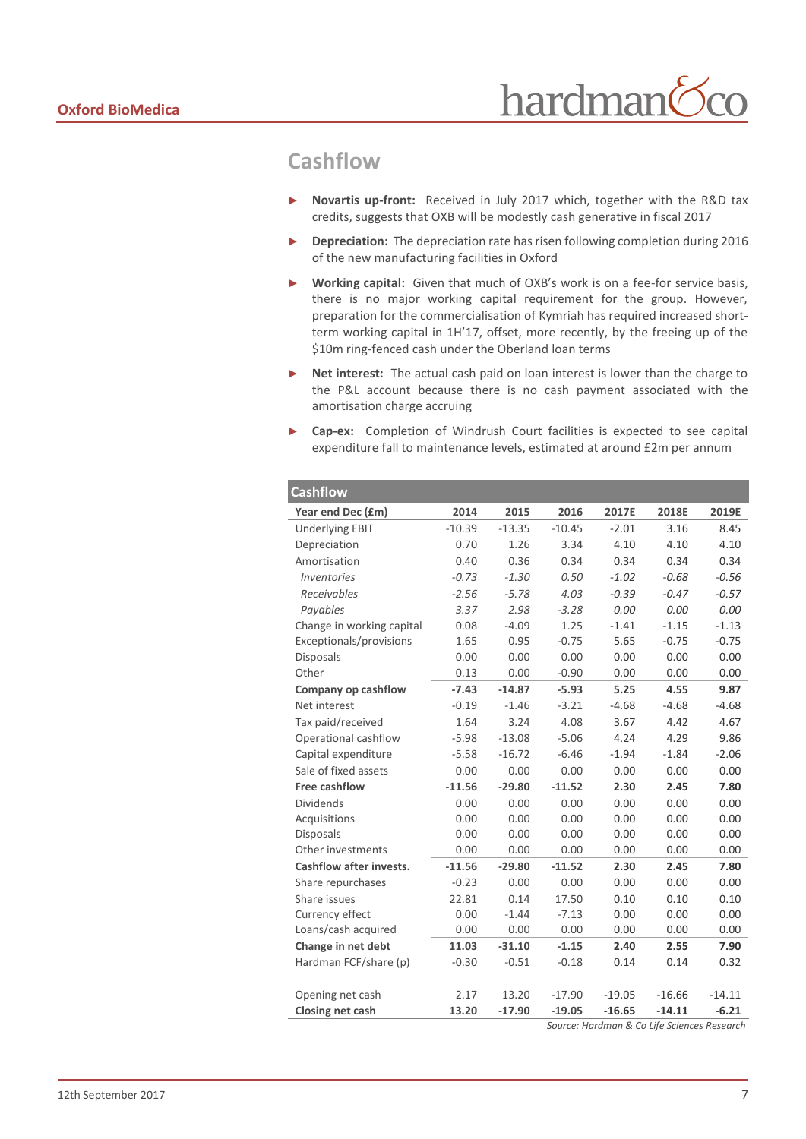## **Cashflow**

- ► **Novartis up-front:** Received in July 2017 which, together with the R&D tax credits, suggests that OXB will be modestly cash generative in fiscal 2017
- ► **Depreciation:** The depreciation rate has risen following completion during 2016 of the new manufacturing facilities in Oxford
- ► **Working capital:** Given that much of OXB's work is on a fee-for service basis, there is no major working capital requirement for the group. However, preparation for the commercialisation of Kymriah has required increased shortterm working capital in 1H'17, offset, more recently, by the freeing up of the \$10m ring-fenced cash under the Oberland loan terms
- ► **Net interest:** The actual cash paid on loan interest is lower than the charge to the P&L account because there is no cash payment associated with the amortisation charge accruing
- ► **Cap-ex:** Completion of Windrush Court facilities is expected to see capital expenditure fall to maintenance levels, estimated at around £2m per annum

| <b>Cashflow</b>                  |          |          |          |          |          |          |
|----------------------------------|----------|----------|----------|----------|----------|----------|
| Year end Dec (£m)                | 2014     | 2015     | 2016     | 2017E    | 2018E    | 2019E    |
| <b>Underlying EBIT</b>           | $-10.39$ | $-13.35$ | $-10.45$ | $-2.01$  | 3.16     | 8.45     |
| Depreciation                     | 0.70     | 1.26     | 3.34     | 4.10     | 4.10     | 4.10     |
| Amortisation                     | 0.40     | 0.36     | 0.34     | 0.34     | 0.34     | 0.34     |
| <i><u><b>Inventories</b></u></i> | $-0.73$  | $-1.30$  | 0.50     | $-1.02$  | $-0.68$  | $-0.56$  |
| Receivables                      | $-2.56$  | $-5.78$  | 4.03     | $-0.39$  | $-0.47$  | $-0.57$  |
| Payables                         | 3.37     | 2.98     | $-3.28$  | 0.00     | 0.00     | 0.00     |
| Change in working capital        | 0.08     | $-4.09$  | 1.25     | $-1.41$  | $-1.15$  | $-1.13$  |
| Exceptionals/provisions          | 1.65     | 0.95     | $-0.75$  | 5.65     | $-0.75$  | $-0.75$  |
| <b>Disposals</b>                 | 0.00     | 0.00     | 0.00     | 0.00     | 0.00     | 0.00     |
| Other                            | 0.13     | 0.00     | $-0.90$  | 0.00     | 0.00     | 0.00     |
| Company op cashflow              | $-7.43$  | $-14.87$ | $-5.93$  | 5.25     | 4.55     | 9.87     |
| Net interest                     | $-0.19$  | $-1.46$  | $-3.21$  | $-4.68$  | $-4.68$  | $-4.68$  |
| Tax paid/received                | 1.64     | 3.24     | 4.08     | 3.67     | 4.42     | 4.67     |
| Operational cashflow             | $-5.98$  | $-13.08$ | $-5.06$  | 4.24     | 4.29     | 9.86     |
| Capital expenditure              | $-5.58$  | $-16.72$ | $-6.46$  | $-1.94$  | $-1.84$  | $-2.06$  |
| Sale of fixed assets             | 0.00     | 0.00     | 0.00     | 0.00     | 0.00     | 0.00     |
| Free cashflow                    | $-11.56$ | $-29.80$ | $-11.52$ | 2.30     | 2.45     | 7.80     |
| <b>Dividends</b>                 | 0.00     | 0.00     | 0.00     | 0.00     | 0.00     | 0.00     |
| Acquisitions                     | 0.00     | 0.00     | 0.00     | 0.00     | 0.00     | 0.00     |
| <b>Disposals</b>                 | 0.00     | 0.00     | 0.00     | 0.00     | 0.00     | 0.00     |
| Other investments                | 0.00     | 0.00     | 0.00     | 0.00     | 0.00     | 0.00     |
| <b>Cashflow after invests.</b>   | $-11.56$ | $-29.80$ | $-11.52$ | 2.30     | 2.45     | 7.80     |
| Share repurchases                | $-0.23$  | 0.00     | 0.00     | 0.00     | 0.00     | 0.00     |
| Share issues                     | 22.81    | 0.14     | 17.50    | 0.10     | 0.10     | 0.10     |
| Currency effect                  | 0.00     | $-1.44$  | $-7.13$  | 0.00     | 0.00     | 0.00     |
| Loans/cash acquired              | 0.00     | 0.00     | 0.00     | 0.00     | 0.00     | 0.00     |
| Change in net debt               | 11.03    | $-31.10$ | $-1.15$  | 2.40     | 2.55     | 7.90     |
| Hardman FCF/share (p)            | $-0.30$  | $-0.51$  | $-0.18$  | 0.14     | 0.14     | 0.32     |
|                                  |          |          |          |          |          |          |
| Opening net cash                 | 2.17     | 13.20    | $-17.90$ | $-19.05$ | $-16.66$ | $-14.11$ |
| Closing net cash                 | 13.20    | $-17.90$ | $-19.05$ | $-16.65$ | $-14.11$ | $-6.21$  |